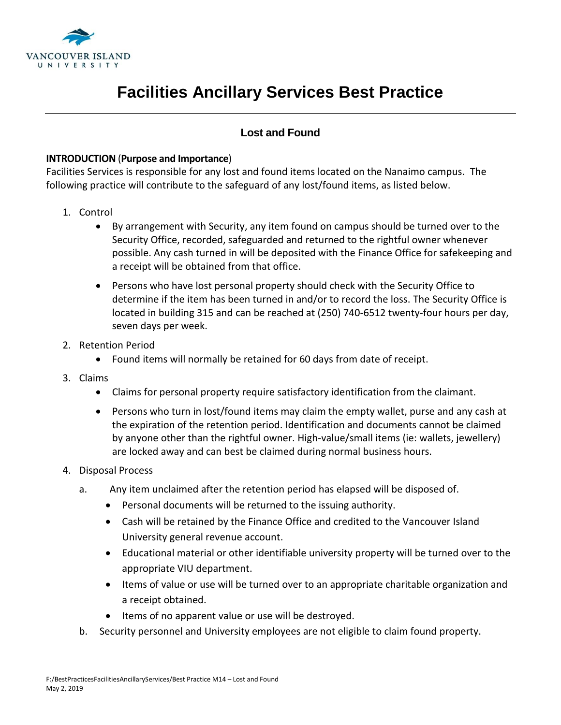

## **Facilities Ancillary Services Best Practice**

## **Lost and Found**

## **INTRODUCTION** (**Purpose and Importance**)

Facilities Services is responsible for any lost and found items located on the Nanaimo campus. The following practice will contribute to the safeguard of any lost/found items, as listed below.

- 1. Control
	- By arrangement with Security, any item found on campus should be turned over to the Security Office, recorded, safeguarded and returned to the rightful owner whenever possible. Any cash turned in will be deposited with the Finance Office for safekeeping and a receipt will be obtained from that office.
	- Persons who have lost personal property should check with the Security Office to determine if the item has been turned in and/or to record the loss. The Security Office is located in building 315 and can be reached at (250) 740-6512 twenty-four hours per day, seven days per week.
- 2. Retention Period
	- Found items will normally be retained for 60 days from date of receipt.
- 3. Claims
	- Claims for personal property require satisfactory identification from the claimant.
	- Persons who turn in lost/found items may claim the empty wallet, purse and any cash at the expiration of the retention period. Identification and documents cannot be claimed by anyone other than the rightful owner. High-value/small items (ie: wallets, jewellery) are locked away and can best be claimed during normal business hours.
- 4. Disposal Process
	- a. Any item unclaimed after the retention period has elapsed will be disposed of.
		- Personal documents will be returned to the issuing authority.
		- Cash will be retained by the Finance Office and credited to the Vancouver Island University general revenue account.
		- Educational material or other identifiable university property will be turned over to the appropriate VIU department.
		- Items of value or use will be turned over to an appropriate charitable organization and a receipt obtained.
		- Items of no apparent value or use will be destroyed.
	- b. Security personnel and University employees are not eligible to claim found property.